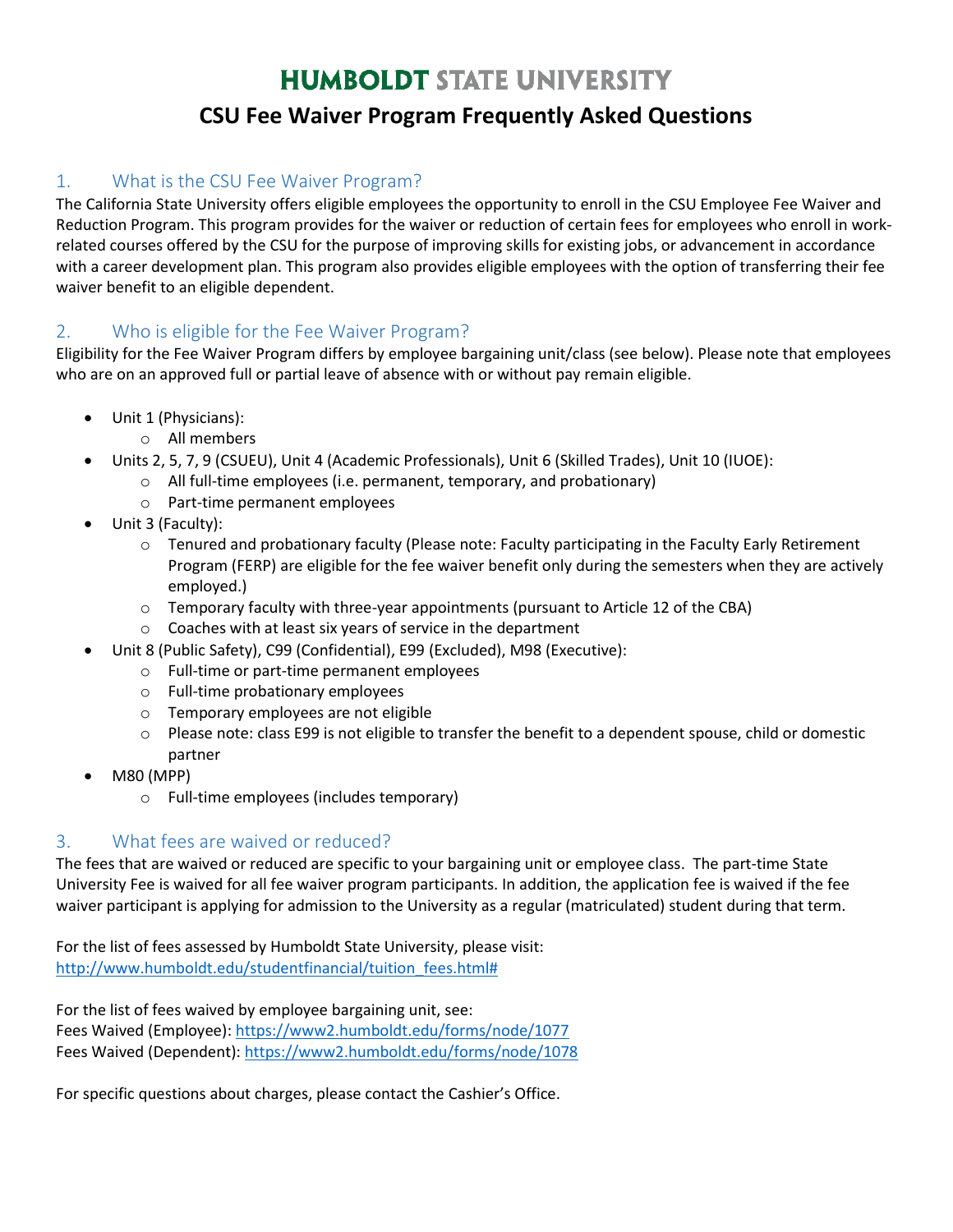# **HUMBOLDT STATE UNIVERSITY**

## **CSU Fee Waiver Program Frequently Asked Questions**

## 1. What is the CSU Fee Waiver Program?

The California State University offers eligible employees the opportunity to enroll in the CSU Employee Fee Waiver and Reduction Program. This program provides for the waiver or reduction of certain fees for employees who enroll in work‐ related courses offered by the CSU for the purpose of improving skills for existing jobs, or advancement in accordance with a career development plan. This program also provides eligible employees with the option of transferring their fee waiver benefit to an eligible dependent.

## 2. Who is eligible for the Fee Waiver Program?

Eligibility for the Fee Waiver Program differs by employee bargaining unit/class (see below). Please note that employees who are on an approved full or partial leave of absence with or without pay remain eligible.

- Unit 1 (Physicians):
	- o All members
- Units 2, 5, 7, 9 (CSUEU), Unit 4 (Academic Professionals), Unit 6 (Skilled Trades), Unit 10 (IUOE):
	- o All full-time employees (i.e. permanent, temporary, and probationary)
		- o Part-time permanent employees
- Unit 3 (Faculty):
	- $\circ$  Tenured and probationary faculty (Please note: Faculty participating in the Faculty Early Retirement Program (FERP) are eligible for the fee waiver benefit only during the semesters when they are actively employed.)
	- $\circ$  Temporary faculty with three-year appointments (pursuant to Article 12 of the CBA)
	- o Coaches with at least six years of service in the department
- Unit 8 (Public Safety), C99 (Confidential), E99 (Excluded), M98 (Executive):
	- o Full-time or part-time permanent employees
	- o Full-time probationary employees
	- o Temporary employees are not eligible
	- o Please note: class E99 is not eligible to transfer the benefit to a dependent spouse, child or domestic partner
- M80 (MPP)
	- o Full-time employees (includes temporary)

## 3. What fees are waived or reduced?

The fees that are waived or reduced are specific to your bargaining unit or employee class. The part-time State University Fee is waived for all fee waiver program participants. In addition, the application fee is waived if the fee waiver participant is applying for admission to the University as a regular (matriculated) student during that term.

For the list of fees assessed by Humboldt State University, please visit: [http://www.humboldt.edu/studentfinancial/tuition\\_fees.html#](http://www.humboldt.edu/studentfinancial/tuition_fees.html)

For the list of fees waived by employee bargaining unit, see: Fees Waived (Employee):<https://www2.humboldt.edu/forms/node/1077> Fees Waived (Dependent):<https://www2.humboldt.edu/forms/node/1078>

For specific questions about charges, please contact the Cashier's Office.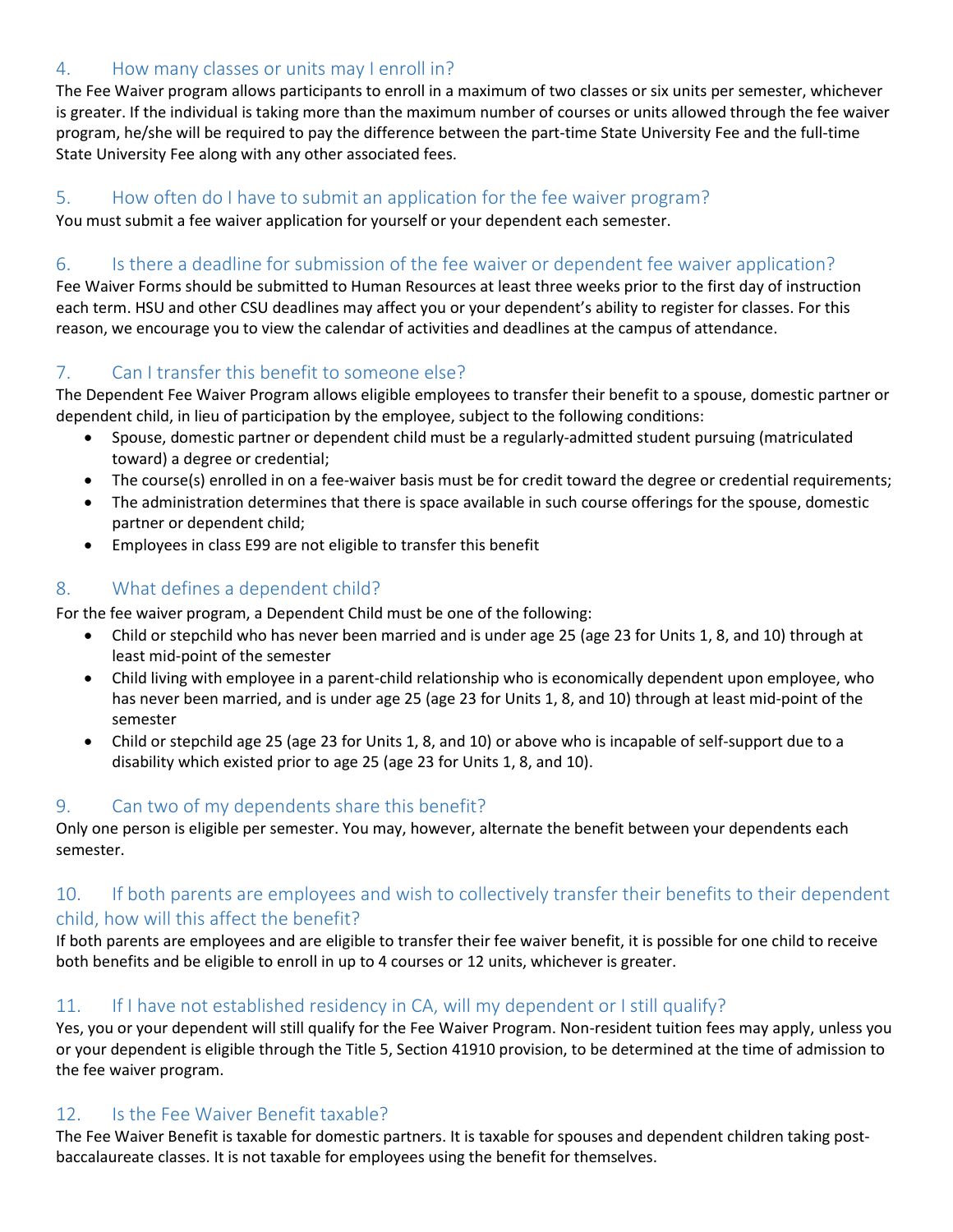## 4. How many classes or units may I enroll in?

The Fee Waiver program allows participants to enroll in a maximum of two classes or six units per semester, whichever is greater. If the individual is taking more than the maximum number of courses or units allowed through the fee waiver program, he/she will be required to pay the difference between the part‐time State University Fee and the full‐time State University Fee along with any other associated fees.

#### 5. How often do I have to submit an application for the fee waiver program?

You must submit a fee waiver application for yourself or your dependent each semester.

### 6. Is there a deadline for submission of the fee waiver or dependent fee waiver application?

Fee Waiver Forms should be submitted to Human Resources at least three weeks prior to the first day of instruction each term. HSU and other CSU deadlines may affect you or your dependent's ability to register for classes. For this reason, we encourage you to view the calendar of activities and deadlines at the campus of attendance.

## 7. Can I transfer this benefit to someone else?

The Dependent Fee Waiver Program allows eligible employees to transfer their benefit to a spouse, domestic partner or dependent child, in lieu of participation by the employee, subject to the following conditions:

- Spouse, domestic partner or dependent child must be a regularly‐admitted student pursuing (matriculated toward) a degree or credential;
- The course(s) enrolled in on a fee-waiver basis must be for credit toward the degree or credential requirements;
- The administration determines that there is space available in such course offerings for the spouse, domestic partner or dependent child;
- Employees in class E99 are not eligible to transfer this benefit

## 8. What defines a dependent child?

For the fee waiver program, a Dependent Child must be one of the following:

- Child or stepchild who has never been married and is under age 25 (age 23 for Units 1, 8, and 10) through at least mid-point of the semester
- Child living with employee in a parent-child relationship who is economically dependent upon employee, who has never been married, and is under age 25 (age 23 for Units 1, 8, and 10) through at least mid-point of the semester
- Child or stepchild age 25 (age 23 for Units 1, 8, and 10) or above who is incapable of self-support due to a disability which existed prior to age 25 (age 23 for Units 1, 8, and 10).

#### 9. Can two of my dependents share this benefit?

Only one person is eligible per semester. You may, however, alternate the benefit between your dependents each semester.

#### 10. If both parents are employees and wish to collectively transfer their benefits to their dependent child, how will this affect the benefit?

If both parents are employees and are eligible to transfer their fee waiver benefit, it is possible for one child to receive both benefits and be eligible to enroll in up to 4 courses or 12 units, whichever is greater.

## 11. If I have not established residency in CA, will my dependent or I still qualify?

Yes, you or your dependent will still qualify for the Fee Waiver Program. Non-resident tuition fees may apply, unless you or your dependent is eligible through the Title 5, Section 41910 provision, to be determined at the time of admission to the fee waiver program.

## 12. Is the Fee Waiver Benefit taxable?

The Fee Waiver Benefit is taxable for domestic partners. It is taxable for spouses and dependent children taking post‐ baccalaureate classes. It is not taxable for employees using the benefit for themselves.